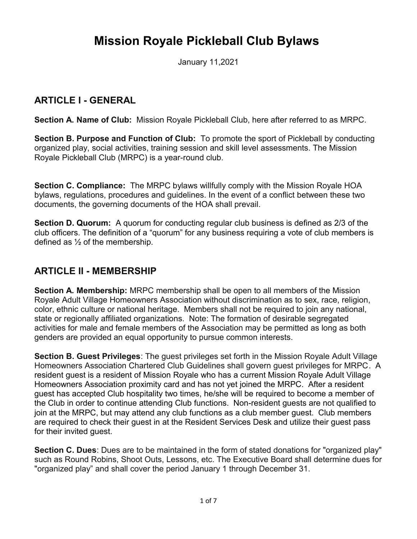# **Mission Royale Pickleball Club Bylaws**

January 11,2021

### **ARTICLE I - GENERAL**

**Section A. Name of Club:** Mission Royale Pickleball Club, here after referred to as MRPC.

**Section B. Purpose and Function of Club:** To promote the sport of Pickleball by conducting organized play, social activities, training session and skill level assessments. The Mission Royale Pickleball Club (MRPC) is a year-round club.

**Section C. Compliance:** The MRPC bylaws willfully comply with the Mission Royale HOA bylaws, regulations, procedures and guidelines. In the event of a conflict between these two documents, the governing documents of the HOA shall prevail.

**Section D. Quorum:** A quorum for conducting regular club business is defined as 2/3 of the club officers. The definition of a "quorum" for any business requiring a vote of club members is defined as ½ of the membership.

### **ARTICLE II - MEMBERSHIP**

**Section A. Membership:** MRPC membership shall be open to all members of the Mission Royale Adult Village Homeowners Association without discrimination as to sex, race, religion, color, ethnic culture or national heritage. Members shall not be required to join any national, state or regionally affiliated organizations. Note: The formation of desirable segregated activities for male and female members of the Association may be permitted as long as both genders are provided an equal opportunity to pursue common interests.

**Section B. Guest Privileges**: The guest privileges set forth in the Mission Royale Adult Village Homeowners Association Chartered Club Guidelines shall govern guest privileges for MRPC. A resident guest is a resident of Mission Royale who has a current Mission Royale Adult Village Homeowners Association proximity card and has not yet joined the MRPC. After a resident guest has accepted Club hospitality two times, he/she will be required to become a member of the Club in order to continue attending Club functions. Non-resident guests are not qualified to join at the MRPC, but may attend any club functions as a club member guest. Club members are required to check their guest in at the Resident Services Desk and utilize their guest pass for their invited guest.

**Section C. Dues**: Dues are to be maintained in the form of stated donations for "organized play" such as Round Robins, Shoot Outs, Lessons, etc. The Executive Board shall determine dues for "organized play" and shall cover the period January 1 through December 31.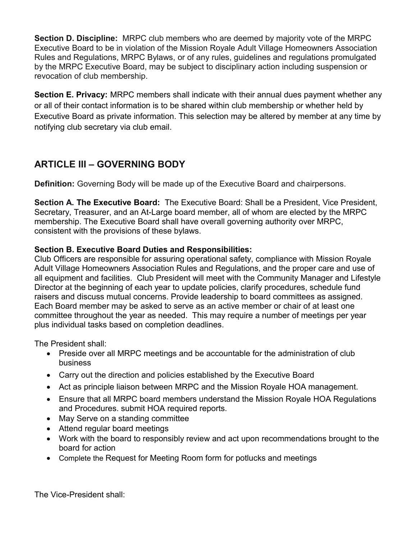**Section D. Discipline:** MRPC club members who are deemed by majority vote of the MRPC Executive Board to be in violation of the Mission Royale Adult Village Homeowners Association Rules and Regulations, MRPC Bylaws, or of any rules, guidelines and regulations promulgated by the MRPC Executive Board, may be subject to disciplinary action including suspension or revocation of club membership.

**Section E. Privacy:** MRPC members shall indicate with their annual dues payment whether any or all of their contact information is to be shared within club membership or whether held by Executive Board as private information. This selection may be altered by member at any time by notifying club secretary via club email.

# **ARTICLE III – GOVERNING BODY**

**Definition:** Governing Body will be made up of the Executive Board and chairpersons.

**Section A. The Executive Board:** The Executive Board: Shall be a President, Vice President, Secretary, Treasurer, and an At-Large board member, all of whom are elected by the MRPC membership. The Executive Board shall have overall governing authority over MRPC, consistent with the provisions of these bylaws.

#### **Section B. Executive Board Duties and Responsibilities:**

Club Officers are responsible for assuring operational safety, compliance with Mission Royale Adult Village Homeowners Association Rules and Regulations, and the proper care and use of all equipment and facilities. Club President will meet with the Community Manager and Lifestyle Director at the beginning of each year to update policies, clarify procedures, schedule fund raisers and discuss mutual concerns. Provide leadership to board committees as assigned. Each Board member may be asked to serve as an active member or chair of at least one committee throughout the year as needed. This may require a number of meetings per year plus individual tasks based on completion deadlines.

The President shall:

- Preside over all MRPC meetings and be accountable for the administration of club business
- Carry out the direction and policies established by the Executive Board
- Act as principle liaison between MRPC and the Mission Royale HOA management.
- Ensure that all MRPC board members understand the Mission Royale HOA Regulations and Procedures. submit HOA required reports.
- May Serve on a standing committee
- Attend regular board meetings
- Work with the board to responsibly review and act upon recommendations brought to the board for action
- Complete the Request for Meeting Room form for potlucks and meetings

The Vice-President shall: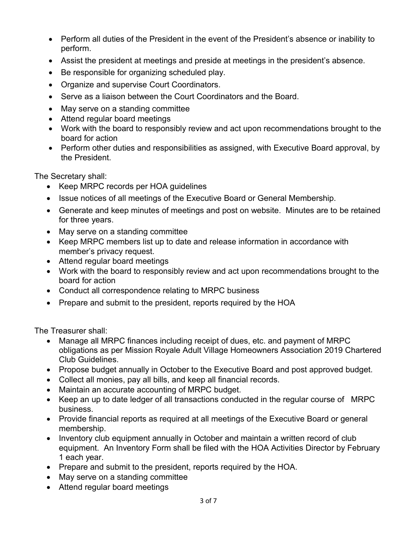- Perform all duties of the President in the event of the President's absence or inability to perform.
- Assist the president at meetings and preside at meetings in the president's absence.
- Be responsible for organizing scheduled play.
- Organize and supervise Court Coordinators.
- Serve as a liaison between the Court Coordinators and the Board.
- May serve on a standing committee
- Attend regular board meetings
- Work with the board to responsibly review and act upon recommendations brought to the board for action
- Perform other duties and responsibilities as assigned, with Executive Board approval, by the President.

The Secretary shall:

- Keep MRPC records per HOA quidelines
- Issue notices of all meetings of the Executive Board or General Membership.
- Generate and keep minutes of meetings and post on website. Minutes are to be retained for three years.
- May serve on a standing committee
- Keep MRPC members list up to date and release information in accordance with member's privacy request.
- Attend regular board meetings
- Work with the board to responsibly review and act upon recommendations brought to the board for action
- Conduct all correspondence relating to MRPC business
- Prepare and submit to the president, reports required by the HOA

The Treasurer shall:

- Manage all MRPC finances including receipt of dues, etc. and payment of MRPC obligations as per Mission Royale Adult Village Homeowners Association 2019 Chartered Club Guidelines.
- Propose budget annually in October to the Executive Board and post approved budget.
- Collect all monies, pay all bills, and keep all financial records.
- Maintain an accurate accounting of MRPC budget.
- Keep an up to date ledger of all transactions conducted in the regular course of MRPC business.
- Provide financial reports as required at all meetings of the Executive Board or general membership.
- Inventory club equipment annually in October and maintain a written record of club equipment. An Inventory Form shall be filed with the HOA Activities Director by February 1 each year.
- Prepare and submit to the president, reports required by the HOA.
- May serve on a standing committee
- Attend regular board meetings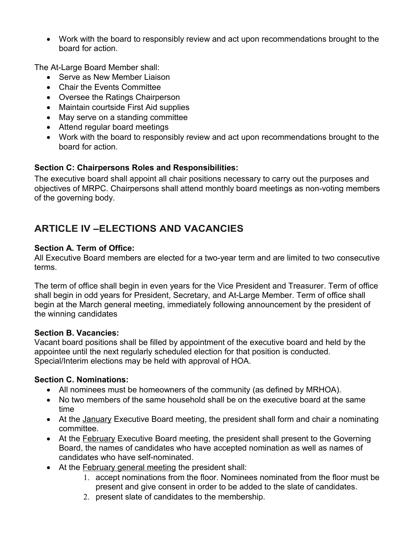Work with the board to responsibly review and act upon recommendations brought to the board for action.

The At-Large Board Member shall:

- Serve as New Member Liaison
- Chair the Events Committee
- Oversee the Ratings Chairperson
- Maintain courtside First Aid supplies
- May serve on a standing committee
- Attend regular board meetings
- Work with the board to responsibly review and act upon recommendations brought to the board for action.

#### **Section C: Chairpersons Roles and Responsibilities:**

The executive board shall appoint all chair positions necessary to carry out the purposes and objectives of MRPC. Chairpersons shall attend monthly board meetings as non-voting members of the governing body.

# **ARTICLE IV –ELECTIONS AND VACANCIES**

#### **Section A. Term of Office:**

All Executive Board members are elected for a two-year term and are limited to two consecutive terms.

The term of office shall begin in even years for the Vice President and Treasurer. Term of office shall begin in odd years for President, Secretary, and At-Large Member. Term of office shall begin at the March general meeting, immediately following announcement by the president of the winning candidates

#### **Section B. Vacancies:**

Vacant board positions shall be filled by appointment of the executive board and held by the appointee until the next regularly scheduled election for that position is conducted. Special/Interim elections may be held with approval of HOA.

#### **Section C. Nominations:**

- All nominees must be homeowners of the community (as defined by MRHOA).
- No two members of the same household shall be on the executive board at the same time
- At the January Executive Board meeting, the president shall form and chair a nominating committee.
- At the February Executive Board meeting, the president shall present to the Governing Board, the names of candidates who have accepted nomination as well as names of candidates who have self-nominated.
- At the **February general meeting the president shall:** 
	- 1. accept nominations from the floor. Nominees nominated from the floor must be present and give consent in order to be added to the slate of candidates.
	- 2. present slate of candidates to the membership.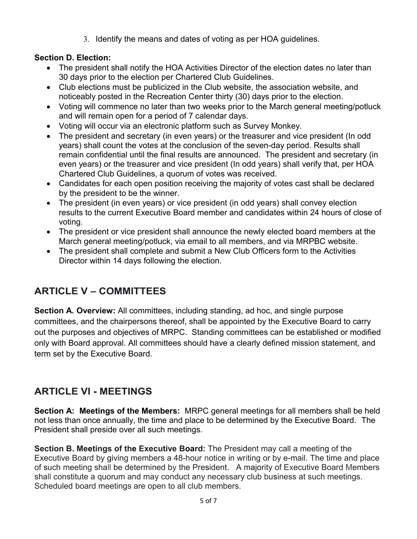3. Identify the means and dates of voting as per HOA guidelines.

#### **Section D. Election:**

- The president shall notify the HOA Activities Director of the election dates no later than 30 days prior to the election per Chartered Club Guidelines.
- Club elections must be publicized in the Club website, the association website, and noticeably posted in the Recreation Center thirty (30) days prior to the election.
- Voting will commence no later than two weeks prior to the March general meeting/potluck and will remain open for a period of 7 calendar days.
- Voting will occur via an electronic platform such as Survey Monkey.
- The president and secretary (in even years) or the treasurer and vice president (In odd years) shall count the votes at the conclusion of the seven-day period. Results shall remain confidential until the final results are announced. The president and secretary (in even years) or the treasurer and vice president (In odd years) shall verify that, per HOA Chartered Club Guidelines, a quorum of votes was received.
- Candidates for each open position receiving the majority of votes cast shall be declared by the president to be the winner.
- The president (in even years) or vice president (in odd years) shall convey election results to the current Executive Board member and candidates within 24 hours of close of voting.
- The president or vice president shall announce the newly elected board members at the March general meeting/potluck, via email to all members, and via MRPBC website.
- The president shall complete and submit a New Club Officers form to the Activities Director within 14 days following the election.

# **ARTICLE V – COMMITTEES**

**Section A. Overview:** All committees, including standing, ad hoc, and single purpose committees, and the chairpersons thereof, shall be appointed by the Executive Board to carry out the purposes and objectives of MRPC. Standing committees can be established or modified only with Board approval. All committees should have a clearly defined mission statement, and term set by the Executive Board.

# **ARTICLE VI - MEETINGS**

**Section A: Meetings of the Members:** MRPC general meetings for all members shall be held not less than once annually, the time and place to be determined by the Executive Board. The President shall preside over all such meetings.

**Section B. Meetings of the Executive Board:** The President may call a meeting of the Executive Board by giving members a 48-hour notice in writing or by e-mail. The time and place of such meeting shall be determined by the President. A majority of Executive Board Members shall constitute a quorum and may conduct any necessary club business at such meetings. Scheduled board meetings are open to all club members.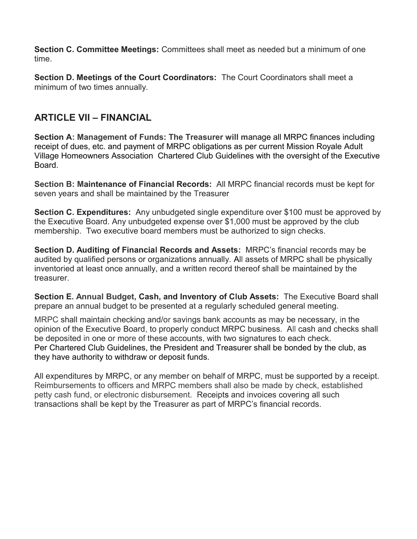**Section C. Committee Meetings:** Committees shall meet as needed but a minimum of one time.

**Section D. Meetings of the Court Coordinators:** The Court Coordinators shall meet a minimum of two times annually.

### **ARTICLE VII – FINANCIAL**

**Section A: Management of Funds: The Treasurer will m**anage all MRPC finances including receipt of dues, etc. and payment of MRPC obligations as per current Mission Royale Adult Village Homeowners Association Chartered Club Guidelines with the oversight of the Executive Board.

**Section B: Maintenance of Financial Records:** All MRPC financial records must be kept for seven years and shall be maintained by the Treasurer

**Section C. Expenditures:** Any unbudgeted single expenditure over \$100 must be approved by the Executive Board. Any unbudgeted expense over \$1,000 must be approved by the club membership. Two executive board members must be authorized to sign checks.

**Section D. Auditing of Financial Records and Assets:** MRPC's financial records may be audited by qualified persons or organizations annually. All assets of MRPC shall be physically inventoried at least once annually, and a written record thereof shall be maintained by the treasurer.

**Section E. Annual Budget, Cash, and Inventory of Club Assets:** The Executive Board shall prepare an annual budget to be presented at a regularly scheduled general meeting.

MRPC shall maintain checking and/or savings bank accounts as may be necessary, in the opinion of the Executive Board, to properly conduct MRPC business. All cash and checks shall be deposited in one or more of these accounts, with two signatures to each check. Per Chartered Club Guidelines, the President and Treasurer shall be bonded by the club, as they have authority to withdraw or deposit funds.

All expenditures by MRPC, or any member on behalf of MRPC, must be supported by a receipt. Reimbursements to officers and MRPC members shall also be made by check, established petty cash fund, or electronic disbursement. Receipts and invoices covering all such transactions shall be kept by the Treasurer as part of MRPC's financial records.